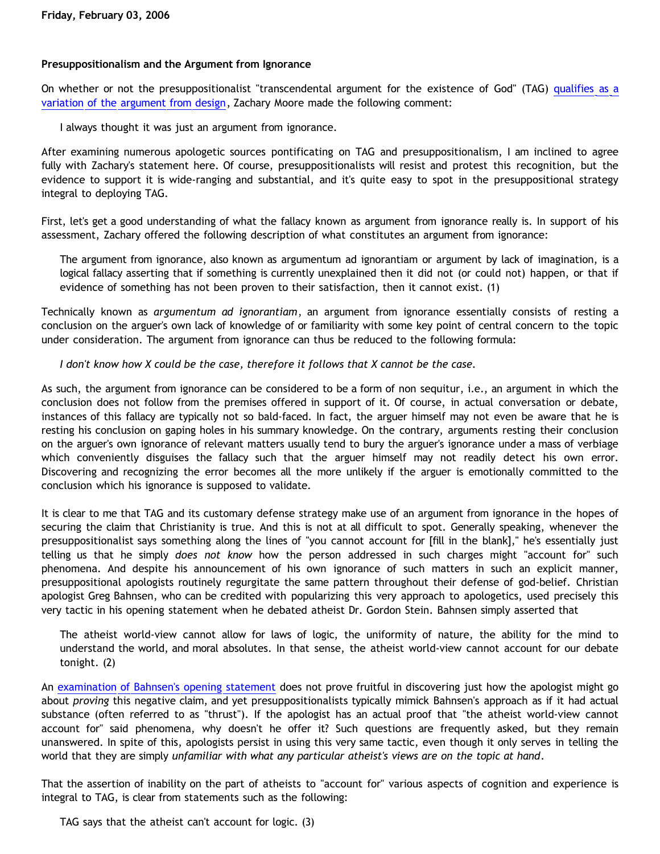### **Presuppositionalism and the Argument from Ignorance**

On whether or not the presuppositionalist "transcendental argument for the existence of God" (TAG) [qualifies as a](http://goosetheantithesis.blogspot.com/2006/02/tag-as-teleological-argument.html) [variation of the argument from design](http://goosetheantithesis.blogspot.com/2006/02/tag-as-teleological-argument.html), Zachary Moore made the following comment:

I always thought it was just an argument from ignorance.

After examining numerous apologetic sources pontificating on TAG and presuppositionalism, I am inclined to agree fully with Zachary's statement here. Of course, presuppositionalists will resist and protest this recognition, but the evidence to support it is wide-ranging and substantial, and it's quite easy to spot in the presuppositional strategy integral to deploying TAG.

First, let's get a good understanding of what the fallacy known as argument from ignorance really is. In support of his assessment, Zachary offered the following description of what constitutes an argument from ignorance:

The argument from ignorance, also known as argumentum ad ignorantiam or argument by lack of imagination, is a logical fallacy asserting that if something is currently unexplained then it did not (or could not) happen, or that if evidence of something has not been proven to their satisfaction, then it cannot exist. (1)

Technically known as *argumentum ad ignorantiam*, an argument from ignorance essentially consists of resting a conclusion on the arguer's own lack of knowledge of or familiarity with some key point of central concern to the topic under consideration. The argument from ignorance can thus be reduced to the following formula:

*I don't know how X could be the case, therefore it follows that X cannot be the case.*

As such, the argument from ignorance can be considered to be a form of non sequitur, i.e., an argument in which the conclusion does not follow from the premises offered in support of it. Of course, in actual conversation or debate, instances of this fallacy are typically not so bald-faced. In fact, the arguer himself may not even be aware that he is resting his conclusion on gaping holes in his summary knowledge. On the contrary, arguments resting their conclusion on the arguer's own ignorance of relevant matters usually tend to bury the arguer's ignorance under a mass of verbiage which conveniently disguises the fallacy such that the arguer himself may not readily detect his own error. Discovering and recognizing the error becomes all the more unlikely if the arguer is emotionally committed to the conclusion which his ignorance is supposed to validate.

It is clear to me that TAG and its customary defense strategy make use of an argument from ignorance in the hopes of securing the claim that Christianity is true. And this is not at all difficult to spot. Generally speaking, whenever the presuppositionalist says something along the lines of "you cannot account for [fill in the blank]," he's essentially just telling us that he simply *does not know* how the person addressed in such charges might "account for" such phenomena. And despite his announcement of his own ignorance of such matters in such an explicit manner, presuppositional apologists routinely regurgitate the same pattern throughout their defense of god-belief. Christian apologist Greg Bahnsen, who can be credited with popularizing this very approach to apologetics, used precisely this very tactic in his opening statement when he debated atheist Dr. Gordon Stein. Bahnsen simply asserted that

The atheist world-view cannot allow for laws of logic, the uniformity of nature, the ability for the mind to understand the world, and moral absolutes. In that sense, the atheist world-view cannot account for our debate tonight. (2)

An [examination of Bahnsen's opening statement](http://www.geocities.com/katholon/poof.htm) does not prove fruitful in discovering just how the apologist might go about *proving* this negative claim, and yet presuppositionalists typically mimick Bahnsen's approach as if it had actual substance (often referred to as "thrust"). If the apologist has an actual proof that "the atheist world-view cannot account for" said phenomena, why doesn't he offer it? Such questions are frequently asked, but they remain unanswered. In spite of this, apologists persist in using this very same tactic, even though it only serves in telling the world that they are simply *unfamiliar with what any particular atheist's views are on the topic at hand*.

That the assertion of inability on the part of atheists to "account for" various aspects of cognition and experience is integral to TAG, is clear from statements such as the following:

TAG says that the atheist can't account for logic. (3)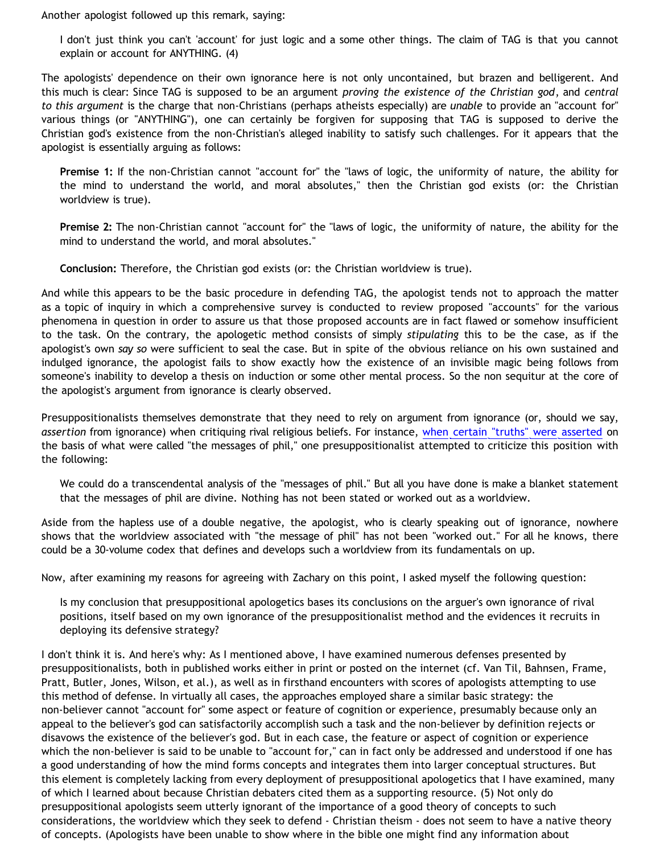Another apologist followed up this remark, saying:

I don't just think you can't 'account' for just logic and a some other things. The claim of TAG is that you cannot explain or account for ANYTHING. (4)

The apologists' dependence on their own ignorance here is not only uncontained, but brazen and belligerent. And this much is clear: Since TAG is supposed to be an argument *proving the existence of the Christian god*, and *central to this argument* is the charge that non-Christians (perhaps atheists especially) are *unable* to provide an "account for" various things (or "ANYTHING"), one can certainly be forgiven for supposing that TAG is supposed to derive the Christian god's existence from the non-Christian's alleged inability to satisfy such challenges. For it appears that the apologist is essentially arguing as follows:

**Premise 1:** If the non-Christian cannot "account for" the "laws of logic, the uniformity of nature, the ability for the mind to understand the world, and moral absolutes," then the Christian god exists (or: the Christian worldview is true).

**Premise 2:** The non-Christian cannot "account for" the "laws of logic, the uniformity of nature, the ability for the mind to understand the world, and moral absolutes."

**Conclusion:** Therefore, the Christian god exists (or: the Christian worldview is true).

And while this appears to be the basic procedure in defending TAG, the apologist tends not to approach the matter as a topic of inquiry in which a comprehensive survey is conducted to review proposed "accounts" for the various phenomena in question in order to assure us that those proposed accounts are in fact flawed or somehow insufficient to the task. On the contrary, the apologetic method consists of simply *stipulating* this to be the case, as if the apologist's own *say so* were sufficient to seal the case. But in spite of the obvious reliance on his own sustained and indulged ignorance, the apologist fails to show exactly how the existence of an invisible magic being follows from someone's inability to develop a thesis on induction or some other mental process. So the non sequitur at the core of the apologist's argument from ignorance is clearly observed.

Presuppositionalists themselves demonstrate that they need to rely on argument from ignorance (or, should we say, *assertion* from ignorance) when critiquing rival religious beliefs. For instance, [when certain "truths" were asserted](http://goosetheantithesis.blogspot.com/2005/06/faith-round-ii.html) on the basis of what were called "the messages of phil," one presuppositionalist attempted to criticize this position with the following:

We could do a transcendental analysis of the "messages of phil." But all you have done is make a blanket statement that the messages of phil are divine. Nothing has not been stated or worked out as a worldview.

Aside from the hapless use of a double negative, the apologist, who is clearly speaking out of ignorance, nowhere shows that the worldview associated with "the message of phil" has not been "worked out." For all he knows, there could be a 30-volume codex that defines and develops such a worldview from its fundamentals on up.

Now, after examining my reasons for agreeing with Zachary on this point, I asked myself the following question:

Is my conclusion that presuppositional apologetics bases its conclusions on the arguer's own ignorance of rival positions, itself based on my own ignorance of the presuppositionalist method and the evidences it recruits in deploying its defensive strategy?

I don't think it is. And here's why: As I mentioned above, I have examined numerous defenses presented by presuppositionalists, both in published works either in print or posted on the internet (cf. Van Til, Bahnsen, Frame, Pratt, Butler, Jones, Wilson, et al.), as well as in firsthand encounters with scores of apologists attempting to use this method of defense. In virtually all cases, the approaches employed share a similar basic strategy: the non-believer cannot "account for" some aspect or feature of cognition or experience, presumably because only an appeal to the believer's god can satisfactorily accomplish such a task and the non-believer by definition rejects or disavows the existence of the believer's god. But in each case, the feature or aspect of cognition or experience which the non-believer is said to be unable to "account for," can in fact only be addressed and understood if one has a good understanding of how the mind forms concepts and integrates them into larger conceptual structures. But this element is completely lacking from every deployment of presuppositional apologetics that I have examined, many of which I learned about because Christian debaters cited them as a supporting resource. (5) Not only do presuppositional apologists seem utterly ignorant of the importance of a good theory of concepts to such considerations, the worldview which they seek to defend - Christian theism - does not seem to have a native theory of concepts. (Apologists have been unable to show where in the bible one might find any information about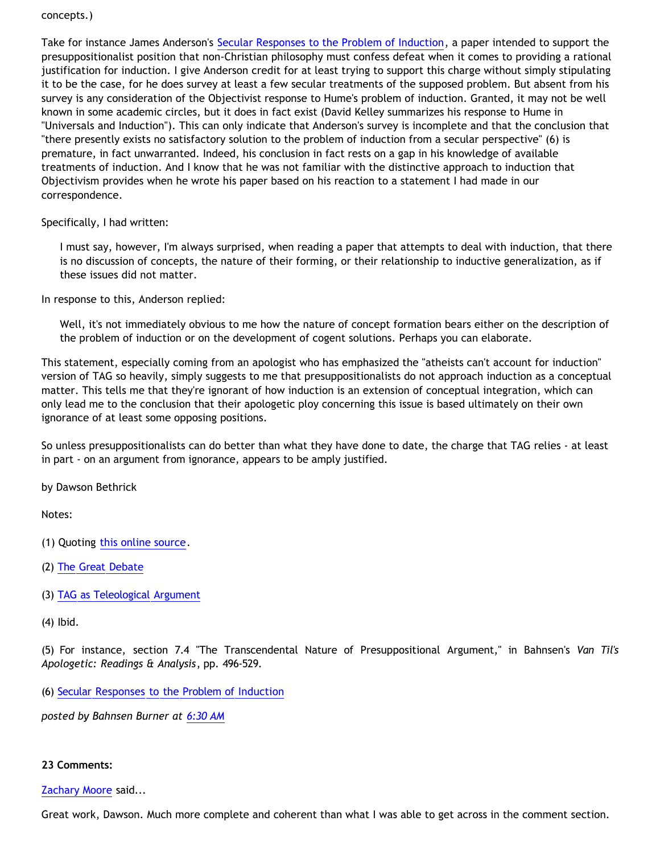#### concepts.)

Take for instance James Anderson's [Secular Responses to the Problem of Induction,](http://www.ccir.ed.ac.uk/~jad/induction.html) a paper intended to support the presuppositionalist position that non-Christian philosophy must confess defeat when it comes to providing a rational justification for induction. I give Anderson credit for at least trying to support this charge without simply stipulating it to be the case, for he does survey at least a few secular treatments of the supposed problem. But absent from his survey is any consideration of the Objectivist response to Hume's problem of induction. Granted, it may not be well known in some academic circles, but it does in fact exist (David Kelley summarizes his response to Hume in "Universals and Induction"). This can only indicate that Anderson's survey is incomplete and that the conclusion that "there presently exists no satisfactory solution to the problem of induction from a secular perspective" (6) is premature, in fact unwarranted. Indeed, his conclusion in fact rests on a gap in his knowledge of available treatments of induction. And I know that he was not familiar with the distinctive approach to induction that Objectivism provides when he wrote his paper based on his reaction to a statement I had made in our correspondence.

Specifically, I had written:

I must say, however, I'm always surprised, when reading a paper that attempts to deal with induction, that there is no discussion of concepts, the nature of their forming, or their relationship to inductive generalization, as if these issues did not matter.

In response to this, Anderson replied:

Well, it's not immediately obvious to me how the nature of concept formation bears either on the description of the problem of induction or on the development of cogent solutions. Perhaps you can elaborate.

This statement, especially coming from an apologist who has emphasized the "atheists can't account for induction" version of TAG so heavily, simply suggests to me that presuppositionalists do not approach induction as a conceptual matter. This tells me that they're ignorant of how induction is an extension of conceptual integration, which can only lead me to the conclusion that their apologetic ploy concerning this issue is based ultimately on their own ignorance of at least some opposing positions.

So unless presuppositionalists can do better than what they have done to date, the charge that TAG relies - at least in part - on an argument from ignorance, appears to be amply justified.

by Dawson Bethrick

Notes:

- (1) Quoting [this online source](http://en.wikipedia.org/wiki/Argument_from_ignorance).
- (2) [The Great Debate](http://www.popchapel.com/Resources/Bahnsen/GreatDebate/GreatDebate_v1.3.pdf)
- (3) [TAG as Teleological Argument](http://goosetheantithesis.blogspot.com/2006/02/tag-as-teleological-argument.html)
- (4) Ibid.

(5) For instance, section 7.4 "The Transcendental Nature of Presuppositional Argument," in Bahnsen's *Van Til's Apologetic: Readings & Analysis*, pp. 496-529.

(6) [Secular Responses to the Problem of Induction](http://www.ccir.ed.ac.uk/~jad/induction.html)

*posted by Bahnsen Burner at [6:30 AM](http://bahnsenburner.blogspot.com/2006/02/presuppositionalism-and-argument-from.html)*

#### **23 Comments:**

#### [Zachary Moore](http://www.blogger.com/profile/7564330) said...

Great work, Dawson. Much more complete and coherent than what I was able to get across in the comment section.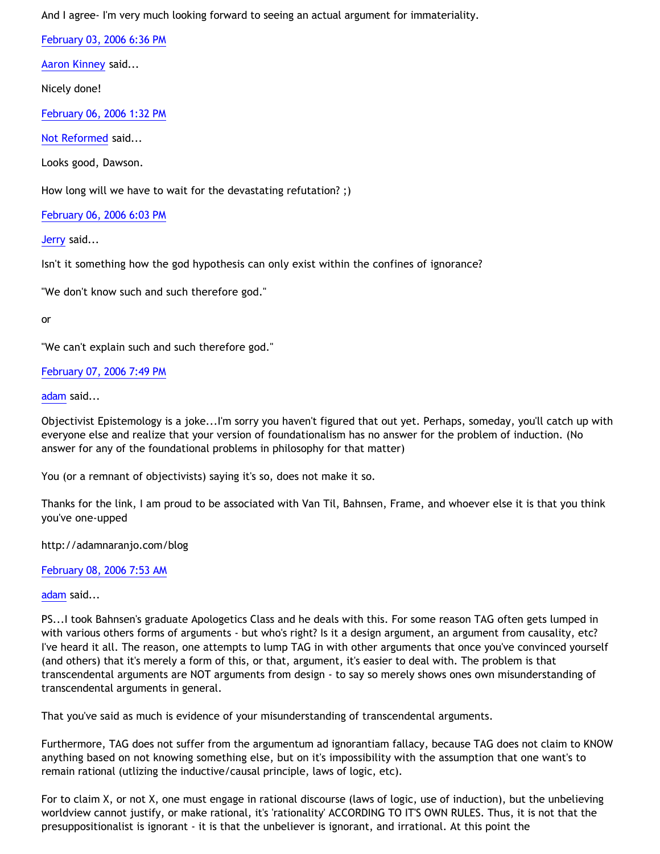And I agree- I'm very much looking forward to seeing an actual argument for immateriality.

[February 03, 2006 6:36 PM](http://bahnsenburner.blogspot.com/2006/02/113902061447649130)

[Aaron Kinney](http://www.blogger.com/profile/8138664) said...

Nicely done!

[February 06, 2006 1:32 PM](http://bahnsenburner.blogspot.com/2006/02/113926156275391324)

[Not Reformed](http://www.blogger.com/profile/8159639) said...

Looks good, Dawson.

How long will we have to wait for the devastating refutation? ;)

[February 06, 2006 6:03 PM](http://bahnsenburner.blogspot.com/2006/02/113927780693263157)

[Jerry](http://www.blogger.com/profile/12959741) said...

Isn't it something how the god hypothesis can only exist within the confines of ignorance?

"We don't know such and such therefore god."

or

"We can't explain such and such therefore god."

[February 07, 2006 7:49 PM](http://bahnsenburner.blogspot.com/2006/02/113937057644123267)

[adam](http://www.blogger.com/profile/966385) said...

Objectivist Epistemology is a joke...I'm sorry you haven't figured that out yet. Perhaps, someday, you'll catch up with everyone else and realize that your version of foundationalism has no answer for the problem of induction. (No answer for any of the foundational problems in philosophy for that matter)

You (or a remnant of objectivists) saying it's so, does not make it so.

Thanks for the link, I am proud to be associated with Van Til, Bahnsen, Frame, and whoever else it is that you think you've one-upped

<http://adamnaranjo.com/blog>

[February 08, 2006 7:53 AM](http://bahnsenburner.blogspot.com/2006/02/113941402086351731)

[adam](http://www.blogger.com/profile/966385) said...

PS...I took Bahnsen's graduate Apologetics Class and he deals with this. For some reason TAG often gets lumped in with various others forms of arguments - but who's right? Is it a design argument, an argument from causality, etc? I've heard it all. The reason, one attempts to lump TAG in with other arguments that once you've convinced yourself (and others) that it's merely a form of this, or that, argument, it's easier to deal with. The problem is that transcendental arguments are NOT arguments from design - to say so merely shows ones own misunderstanding of transcendental arguments in general.

That you've said as much is evidence of your misunderstanding of transcendental arguments.

Furthermore, TAG does not suffer from the argumentum ad ignorantiam fallacy, because TAG does not claim to KNOW anything based on not knowing something else, but on it's impossibility with the assumption that one want's to remain rational (utlizing the inductive/causal principle, laws of logic, etc).

For to claim X, or not X, one must engage in rational discourse (laws of logic, use of induction), but the unbelieving worldview cannot justify, or make rational, it's 'rationality' ACCORDING TO IT'S OWN RULES. Thus, it is not that the presuppositionalist is ignorant - it is that the unbeliever is ignorant, and irrational. At this point the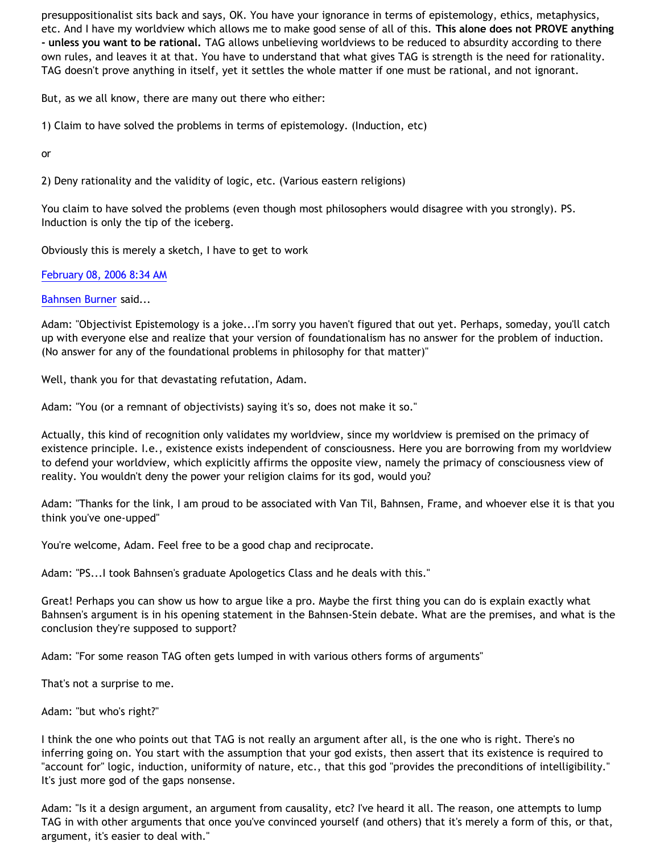presuppositionalist sits back and says, OK. You have your ignorance in terms of epistemology, ethics, metaphysics, etc. And I have my worldview which allows me to make good sense of all of this. **This alone does not PROVE anything - unless you want to be rational.** TAG allows unbelieving worldviews to be reduced to absurdity according to there own rules, and leaves it at that. You have to understand that what gives TAG is strength is the need for rationality. TAG doesn't prove anything in itself, yet it settles the whole matter if one must be rational, and not ignorant.

But, as we all know, there are many out there who either:

1) Claim to have solved the problems in terms of epistemology. (Induction, etc)

or

2) Deny rationality and the validity of logic, etc. (Various eastern religions)

You claim to have solved the problems (even though most philosophers would disagree with you strongly). PS. Induction is only the tip of the iceberg.

Obviously this is merely a sketch, I have to get to work

[February 08, 2006 8:34 AM](http://bahnsenburner.blogspot.com/2006/02/113941644729568908)

[Bahnsen Burner](http://www.blogger.com/profile/7766918) said...

Adam: "Objectivist Epistemology is a joke...I'm sorry you haven't figured that out yet. Perhaps, someday, you'll catch up with everyone else and realize that your version of foundationalism has no answer for the problem of induction. (No answer for any of the foundational problems in philosophy for that matter)"

Well, thank you for that devastating refutation, Adam.

Adam: "You (or a remnant of objectivists) saying it's so, does not make it so."

Actually, this kind of recognition only validates my worldview, since my worldview is premised on the primacy of existence principle. I.e., existence exists independent of consciousness. Here you are borrowing from my worldview to defend your worldview, which explicitly affirms the opposite view, namely the primacy of consciousness view of reality. You wouldn't deny the power your religion claims for its god, would you?

Adam: "Thanks for the link, I am proud to be associated with Van Til, Bahnsen, Frame, and whoever else it is that you think you've one-upped"

You're welcome, Adam. Feel free to be a good chap and reciprocate.

Adam: "PS...I took Bahnsen's graduate Apologetics Class and he deals with this."

Great! Perhaps you can show us how to argue like a pro. Maybe the first thing you can do is explain exactly what Bahnsen's argument is in his opening statement in the Bahnsen-Stein debate. What are the premises, and what is the conclusion they're supposed to support?

Adam: "For some reason TAG often gets lumped in with various others forms of arguments"

That's not a surprise to me.

Adam: "but who's right?"

I think the one who points out that TAG is not really an argument after all, is the one who is right. There's no inferring going on. You start with the assumption that your god exists, then assert that its existence is required to "account for" logic, induction, uniformity of nature, etc., that this god "provides the preconditions of intelligibility." It's just more god of the gaps nonsense.

Adam: "Is it a design argument, an argument from causality, etc? I've heard it all. The reason, one attempts to lump TAG in with other arguments that once you've convinced yourself (and others) that it's merely a form of this, or that, argument, it's easier to deal with."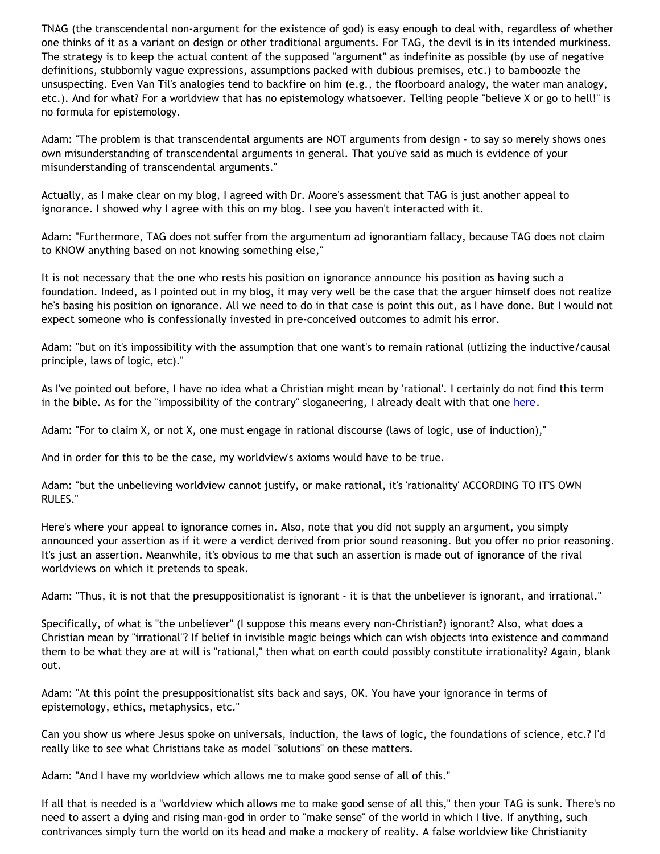TNAG (the transcendental non-argument for the existence of god) is easy enough to deal with, regardless of whether one thinks of it as a variant on design or other traditional arguments. For TAG, the devil is in its intended murkiness. The strategy is to keep the actual content of the supposed "argument" as indefinite as possible (by use of negative definitions, stubbornly vague expressions, assumptions packed with dubious premises, etc.) to bamboozle the unsuspecting. Even Van Til's analogies tend to backfire on him (e.g., the floorboard analogy, the water man analogy, etc.). And for what? For a worldview that has no epistemology whatsoever. Telling people "believe X or go to hell!" is no formula for epistemology.

Adam: "The problem is that transcendental arguments are NOT arguments from design - to say so merely shows ones own misunderstanding of transcendental arguments in general. That you've said as much is evidence of your misunderstanding of transcendental arguments."

Actually, as I make clear on my blog, I agreed with Dr. Moore's assessment that TAG is just another appeal to ignorance. I showed why I agree with this on my blog. I see you haven't interacted with it.

Adam: "Furthermore, TAG does not suffer from the argumentum ad ignorantiam fallacy, because TAG does not claim to KNOW anything based on not knowing something else,"

It is not necessary that the one who rests his position on ignorance announce his position as having such a foundation. Indeed, as I pointed out in my blog, it may very well be the case that the arguer himself does not realize he's basing his position on ignorance. All we need to do in that case is point this out, as I have done. But I would not expect someone who is confessionally invested in pre-conceived outcomes to admit his error.

Adam: "but on it's impossibility with the assumption that one want's to remain rational (utlizing the inductive/causal principle, laws of logic, etc)."

As I've pointed out before, I have no idea what a Christian might mean by 'rational'. I certainly do not find this term in the bible. As for the "impossibility of the contrary" sloganeering, I already dealt with that one [here.](http://bahnsenburner.blogspot.com/2005/09/is-contrary-to-christianity-truly.html)

Adam: "For to claim X, or not X, one must engage in rational discourse (laws of logic, use of induction),"

And in order for this to be the case, my worldview's axioms would have to be true.

Adam: "but the unbelieving worldview cannot justify, or make rational, it's 'rationality' ACCORDING TO IT'S OWN RULES."

Here's where your appeal to ignorance comes in. Also, note that you did not supply an argument, you simply announced your assertion as if it were a verdict derived from prior sound reasoning. But you offer no prior reasoning. It's just an assertion. Meanwhile, it's obvious to me that such an assertion is made out of ignorance of the rival worldviews on which it pretends to speak.

Adam: "Thus, it is not that the presuppositionalist is ignorant - it is that the unbeliever is ignorant, and irrational."

Specifically, of what is "the unbeliever" (I suppose this means every non-Christian?) ignorant? Also, what does a Christian mean by "irrational"? If belief in invisible magic beings which can wish objects into existence and command them to be what they are at will is "rational," then what on earth could possibly constitute irrationality? Again, blank out.

Adam: "At this point the presuppositionalist sits back and says, OK. You have your ignorance in terms of epistemology, ethics, metaphysics, etc."

Can you show us where Jesus spoke on universals, induction, the laws of logic, the foundations of science, etc.? I'd really like to see what Christians take as model "solutions" on these matters.

Adam: "And I have my worldview which allows me to make good sense of all of this."

If all that is needed is a "worldview which allows me to make good sense of all this," then your TAG is sunk. There's no need to assert a dying and rising man-god in order to "make sense" of the world in which I live. If anything, such contrivances simply turn the world on its head and make a mockery of reality. A false worldview like Christianity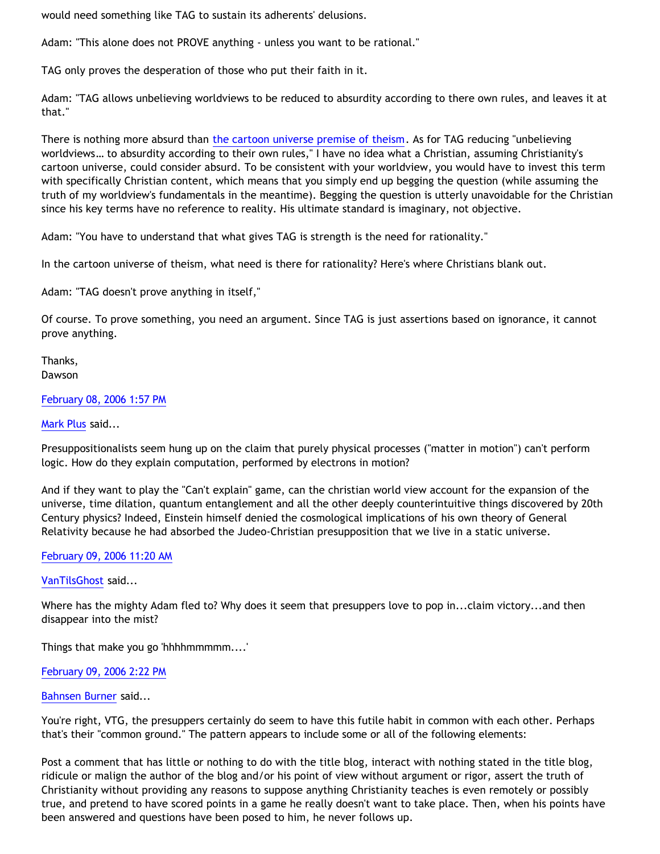would need something like TAG to sustain its adherents' delusions.

Adam: "This alone does not PROVE anything - unless you want to be rational."

TAG only proves the desperation of those who put their faith in it.

Adam: "TAG allows unbelieving worldviews to be reduced to absurdity according to there own rules, and leaves it at that."

There is nothing more absurd than [the cartoon universe premise of theism](http://bahnsenburner.blogspot.com/2005/03/cartoon-universe-of-theism.html). As for TAG reducing "unbelieving worldviews… to absurdity according to their own rules," I have no idea what a Christian, assuming Christianity's cartoon universe, could consider absurd. To be consistent with your worldview, you would have to invest this term with specifically Christian content, which means that you simply end up begging the question (while assuming the truth of my worldview's fundamentals in the meantime). Begging the question is utterly unavoidable for the Christian since his key terms have no reference to reality. His ultimate standard is imaginary, not objective.

Adam: "You have to understand that what gives TAG is strength is the need for rationality."

In the cartoon universe of theism, what need is there for rationality? Here's where Christians blank out.

Adam: "TAG doesn't prove anything in itself,"

Of course. To prove something, you need an argument. Since TAG is just assertions based on ignorance, it cannot prove anything.

Thanks, Dawson

### [February 08, 2006 1:57 PM](http://bahnsenburner.blogspot.com/2006/02/113943587214009237)

### [Mark Plus](http://www.blogger.com/profile/3456402) said...

Presuppositionalists seem hung up on the claim that purely physical processes ("matter in motion") can't perform logic. How do they explain computation, performed by electrons in motion?

And if they want to play the "Can't explain" game, can the christian world view account for the expansion of the universe, time dilation, quantum entanglement and all the other deeply counterintuitive things discovered by 20th Century physics? Indeed, Einstein himself denied the cosmological implications of his own theory of General Relativity because he had absorbed the Judeo-Christian presupposition that we live in a static universe.

### [February 09, 2006 11:20 AM](http://bahnsenburner.blogspot.com/2006/02/113951280805797785)

[VanTilsGhost](http://www.blogger.com/profile/9496584) said...

Where has the mighty Adam fled to? Why does it seem that presuppers love to pop in...claim victory...and then disappear into the mist?

Things that make you go 'hhhhmmmmm....'

#### [February 09, 2006 2:22 PM](http://bahnsenburner.blogspot.com/2006/02/113952374307524177)

#### [Bahnsen Burner](http://www.blogger.com/profile/7766918) said...

You're right, VTG, the presuppers certainly do seem to have this futile habit in common with each other. Perhaps that's their "common ground." The pattern appears to include some or all of the following elements:

Post a comment that has little or nothing to do with the title blog, interact with nothing stated in the title blog, ridicule or malign the author of the blog and/or his point of view without argument or rigor, assert the truth of Christianity without providing any reasons to suppose anything Christianity teaches is even remotely or possibly true, and pretend to have scored points in a game he really doesn't want to take place. Then, when his points have been answered and questions have been posed to him, he never follows up.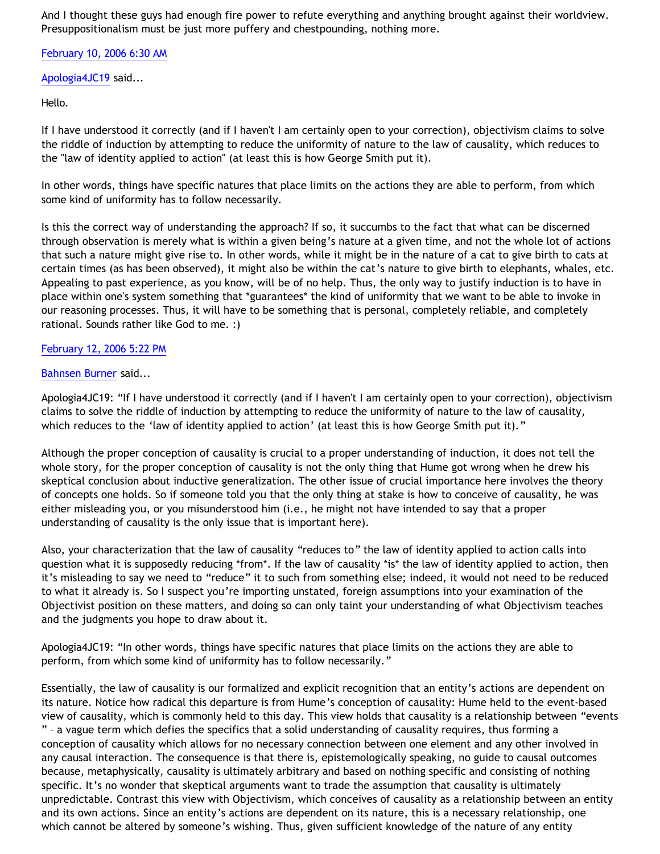And I thought these guys had enough fire power to refute everything and anything brought against their worldview. Presuppositionalism must be just more puffery and chestpounding, nothing more.

[February 10, 2006 6:30 AM](http://bahnsenburner.blogspot.com/2006/02/113958180096342020)

[Apologia4JC19](http://www.blogger.com/profile/18181326) said...

Hello.

If I have understood it correctly (and if I haven't I am certainly open to your correction), objectivism claims to solve the riddle of induction by attempting to reduce the uniformity of nature to the law of causality, which reduces to the "law of identity applied to action" (at least this is how George Smith put it).

In other words, things have specific natures that place limits on the actions they are able to perform, from which some kind of uniformity has to follow necessarily.

Is this the correct way of understanding the approach? If so, it succumbs to the fact that what can be discerned through observation is merely what is within a given being's nature at a given time, and not the whole lot of actions that such a nature might give rise to. In other words, while it might be in the nature of a cat to give birth to cats at certain times (as has been observed), it might also be within the cat's nature to give birth to elephants, whales, etc. Appealing to past experience, as you know, will be of no help. Thus, the only way to justify induction is to have in place within one's system something that \*guarantees\* the kind of uniformity that we want to be able to invoke in our reasoning processes. Thus, it will have to be something that is personal, completely reliable, and completely rational. Sounds rather like God to me. :)

## [February 12, 2006 5:22 PM](http://bahnsenburner.blogspot.com/2006/02/113979373253977423)

### [Bahnsen Burner](http://www.blogger.com/profile/7766918) said...

Apologia4JC19: "If I have understood it correctly (and if I haven't I am certainly open to your correction), objectivism claims to solve the riddle of induction by attempting to reduce the uniformity of nature to the law of causality, which reduces to the 'law of identity applied to action' (at least this is how George Smith put it)."

Although the proper conception of causality is crucial to a proper understanding of induction, it does not tell the whole story, for the proper conception of causality is not the only thing that Hume got wrong when he drew his skeptical conclusion about inductive generalization. The other issue of crucial importance here involves the theory of concepts one holds. So if someone told you that the only thing at stake is how to conceive of causality, he was either misleading you, or you misunderstood him (i.e., he might not have intended to say that a proper understanding of causality is the only issue that is important here).

Also, your characterization that the law of causality "reduces to" the law of identity applied to action calls into question what it is supposedly reducing \*from\*. If the law of causality \*is\* the law of identity applied to action, then it's misleading to say we need to "reduce" it to such from something else; indeed, it would not need to be reduced to what it already is. So I suspect you're importing unstated, foreign assumptions into your examination of the Objectivist position on these matters, and doing so can only taint your understanding of what Objectivism teaches and the judgments you hope to draw about it.

Apologia4JC19: "In other words, things have specific natures that place limits on the actions they are able to perform, from which some kind of uniformity has to follow necessarily."

Essentially, the law of causality is our formalized and explicit recognition that an entity's actions are dependent on its nature. Notice how radical this departure is from Hume's conception of causality: Hume held to the event-based view of causality, which is commonly held to this day. This view holds that causality is a relationship between "events " – a vague term which defies the specifics that a solid understanding of causality requires, thus forming a conception of causality which allows for no necessary connection between one element and any other involved in any causal interaction. The consequence is that there is, epistemologically speaking, no guide to causal outcomes because, metaphysically, causality is ultimately arbitrary and based on nothing specific and consisting of nothing specific. It's no wonder that skeptical arguments want to trade the assumption that causality is ultimately unpredictable. Contrast this view with Objectivism, which conceives of causality as a relationship between an entity and its own actions. Since an entity's actions are dependent on its nature, this is a necessary relationship, one which cannot be altered by someone's wishing. Thus, given sufficient knowledge of the nature of any entity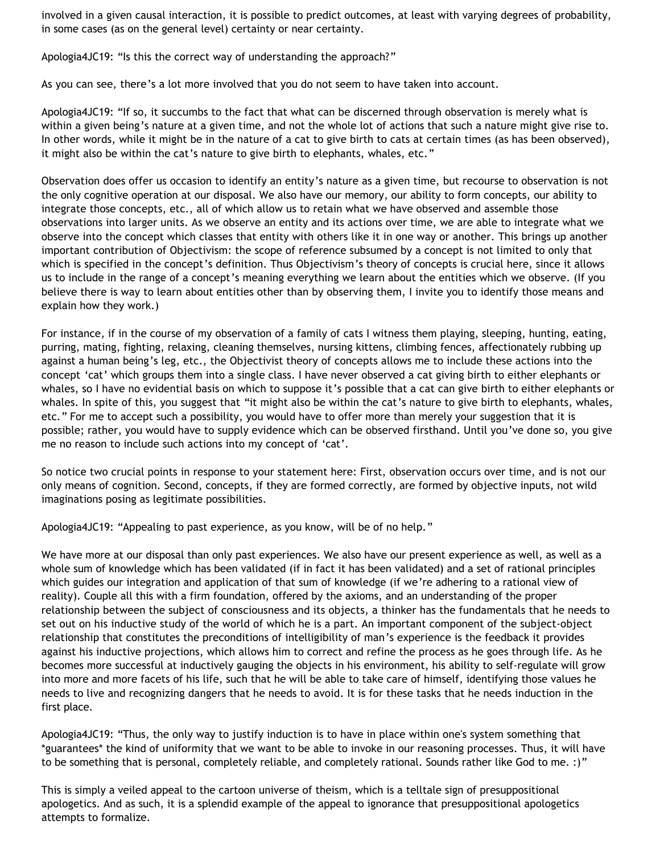involved in a given causal interaction, it is possible to predict outcomes, at least with varying degrees of probability, in some cases (as on the general level) certainty or near certainty.

Apologia4JC19: "Is this the correct way of understanding the approach?"

As you can see, there's a lot more involved that you do not seem to have taken into account.

Apologia4JC19: "If so, it succumbs to the fact that what can be discerned through observation is merely what is within a given being's nature at a given time, and not the whole lot of actions that such a nature might give rise to. In other words, while it might be in the nature of a cat to give birth to cats at certain times (as has been observed), it might also be within the cat's nature to give birth to elephants, whales, etc."

Observation does offer us occasion to identify an entity's nature as a given time, but recourse to observation is not the only cognitive operation at our disposal. We also have our memory, our ability to form concepts, our ability to integrate those concepts, etc., all of which allow us to retain what we have observed and assemble those observations into larger units. As we observe an entity and its actions over time, we are able to integrate what we observe into the concept which classes that entity with others like it in one way or another. This brings up another important contribution of Objectivism: the scope of reference subsumed by a concept is not limited to only that which is specified in the concept's definition. Thus Objectivism's theory of concepts is crucial here, since it allows us to include in the range of a concept's meaning everything we learn about the entities which we observe. (If you believe there is way to learn about entities other than by observing them, I invite you to identify those means and explain how they work.)

For instance, if in the course of my observation of a family of cats I witness them playing, sleeping, hunting, eating, purring, mating, fighting, relaxing, cleaning themselves, nursing kittens, climbing fences, affectionately rubbing up against a human being's leg, etc., the Objectivist theory of concepts allows me to include these actions into the concept 'cat' which groups them into a single class. I have never observed a cat giving birth to either elephants or whales, so I have no evidential basis on which to suppose it's possible that a cat can give birth to either elephants or whales. In spite of this, you suggest that "it might also be within the cat's nature to give birth to elephants, whales, etc." For me to accept such a possibility, you would have to offer more than merely your suggestion that it is possible; rather, you would have to supply evidence which can be observed firsthand. Until you've done so, you give me no reason to include such actions into my concept of 'cat'.

So notice two crucial points in response to your statement here: First, observation occurs over time, and is not our only means of cognition. Second, concepts, if they are formed correctly, are formed by objective inputs, not wild imaginations posing as legitimate possibilities.

Apologia4JC19: "Appealing to past experience, as you know, will be of no help."

We have more at our disposal than only past experiences. We also have our present experience as well, as well as a whole sum of knowledge which has been validated (if in fact it has been validated) and a set of rational principles which guides our integration and application of that sum of knowledge (if we're adhering to a rational view of reality). Couple all this with a firm foundation, offered by the axioms, and an understanding of the proper relationship between the subject of consciousness and its objects, a thinker has the fundamentals that he needs to set out on his inductive study of the world of which he is a part. An important component of the subject-object relationship that constitutes the preconditions of intelligibility of man's experience is the feedback it provides against his inductive projections, which allows him to correct and refine the process as he goes through life. As he becomes more successful at inductively gauging the objects in his environment, his ability to self-regulate will grow into more and more facets of his life, such that he will be able to take care of himself, identifying those values he needs to live and recognizing dangers that he needs to avoid. It is for these tasks that he needs induction in the first place.

Apologia4JC19: "Thus, the only way to justify induction is to have in place within one's system something that \*guarantees\* the kind of uniformity that we want to be able to invoke in our reasoning processes. Thus, it will have to be something that is personal, completely reliable, and completely rational. Sounds rather like God to me. :)"

This is simply a veiled appeal to the cartoon universe of theism, which is a telltale sign of presuppositional apologetics. And as such, it is a splendid example of the appeal to ignorance that presuppositional apologetics attempts to formalize.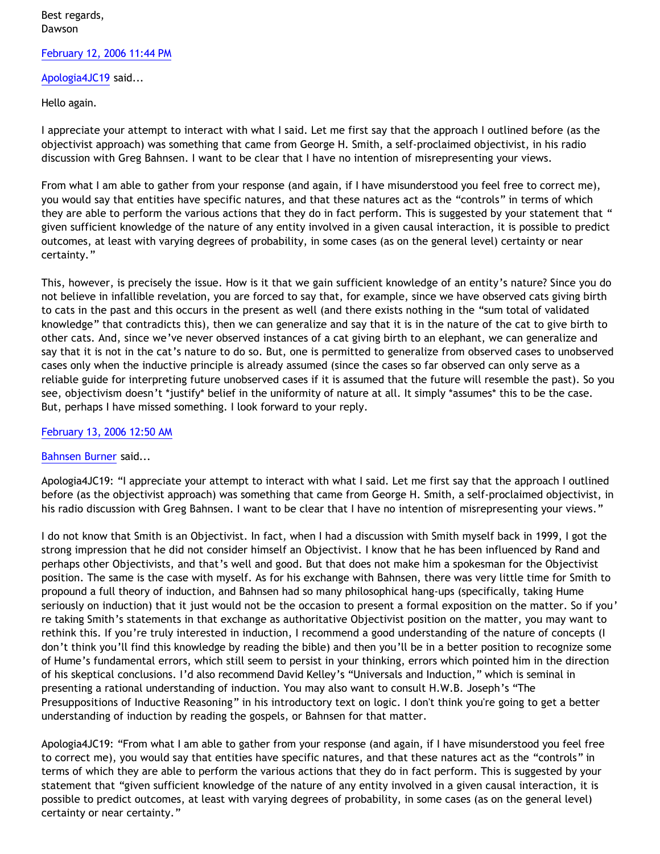# Best regards, Dawson

### [February 12, 2006 11:44 PM](http://bahnsenburner.blogspot.com/2006/02/113981669647608499)

## [Apologia4JC19](http://www.blogger.com/profile/18181326) said...

## Hello again.

I appreciate your attempt to interact with what I said. Let me first say that the approach I outlined before (as the objectivist approach) was something that came from George H. Smith, a self-proclaimed objectivist, in his radio discussion with Greg Bahnsen. I want to be clear that I have no intention of misrepresenting your views.

From what I am able to gather from your response (and again, if I have misunderstood you feel free to correct me), you would say that entities have specific natures, and that these natures act as the "controls" in terms of which they are able to perform the various actions that they do in fact perform. This is suggested by your statement that " given sufficient knowledge of the nature of any entity involved in a given causal interaction, it is possible to predict outcomes, at least with varying degrees of probability, in some cases (as on the general level) certainty or near certainty."

This, however, is precisely the issue. How is it that we gain sufficient knowledge of an entity's nature? Since you do not believe in infallible revelation, you are forced to say that, for example, since we have observed cats giving birth to cats in the past and this occurs in the present as well (and there exists nothing in the "sum total of validated knowledge" that contradicts this), then we can generalize and say that it is in the nature of the cat to give birth to other cats. And, since we've never observed instances of a cat giving birth to an elephant, we can generalize and say that it is not in the cat's nature to do so. But, one is permitted to generalize from observed cases to unobserved cases only when the inductive principle is already assumed (since the cases so far observed can only serve as a reliable guide for interpreting future unobserved cases if it is assumed that the future will resemble the past). So you see, objectivism doesn't \*justify\* belief in the uniformity of nature at all. It simply \*assumes\* this to be the case. But, perhaps I have missed something. I look forward to your reply.

## [February 13, 2006 12:50 AM](http://bahnsenburner.blogspot.com/2006/02/113982064028516279)

# [Bahnsen Burner](http://www.blogger.com/profile/7766918) said...

Apologia4JC19: "I appreciate your attempt to interact with what I said. Let me first say that the approach I outlined before (as the objectivist approach) was something that came from George H. Smith, a self-proclaimed objectivist, in his radio discussion with Greg Bahnsen. I want to be clear that I have no intention of misrepresenting your views."

I do not know that Smith is an Objectivist. In fact, when I had a discussion with Smith myself back in 1999, I got the strong impression that he did not consider himself an Objectivist. I know that he has been influenced by Rand and perhaps other Objectivists, and that's well and good. But that does not make him a spokesman for the Objectivist position. The same is the case with myself. As for his exchange with Bahnsen, there was very little time for Smith to propound a full theory of induction, and Bahnsen had so many philosophical hang-ups (specifically, taking Hume seriously on induction) that it just would not be the occasion to present a formal exposition on the matter. So if you' re taking Smith's statements in that exchange as authoritative Objectivist position on the matter, you may want to rethink this. If you're truly interested in induction, I recommend a good understanding of the nature of concepts (I don't think you'll find this knowledge by reading the bible) and then you'll be in a better position to recognize some of Hume's fundamental errors, which still seem to persist in your thinking, errors which pointed him in the direction of his skeptical conclusions. I'd also recommend David Kelley's "Universals and Induction," which is seminal in presenting a rational understanding of induction. You may also want to consult H.W.B. Joseph's "The Presuppositions of Inductive Reasoning" in his introductory text on logic. I don't think you're going to get a better understanding of induction by reading the gospels, or Bahnsen for that matter.

Apologia4JC19: "From what I am able to gather from your response (and again, if I have misunderstood you feel free to correct me), you would say that entities have specific natures, and that these natures act as the "controls" in terms of which they are able to perform the various actions that they do in fact perform. This is suggested by your statement that "given sufficient knowledge of the nature of any entity involved in a given causal interaction, it is possible to predict outcomes, at least with varying degrees of probability, in some cases (as on the general level) certainty or near certainty."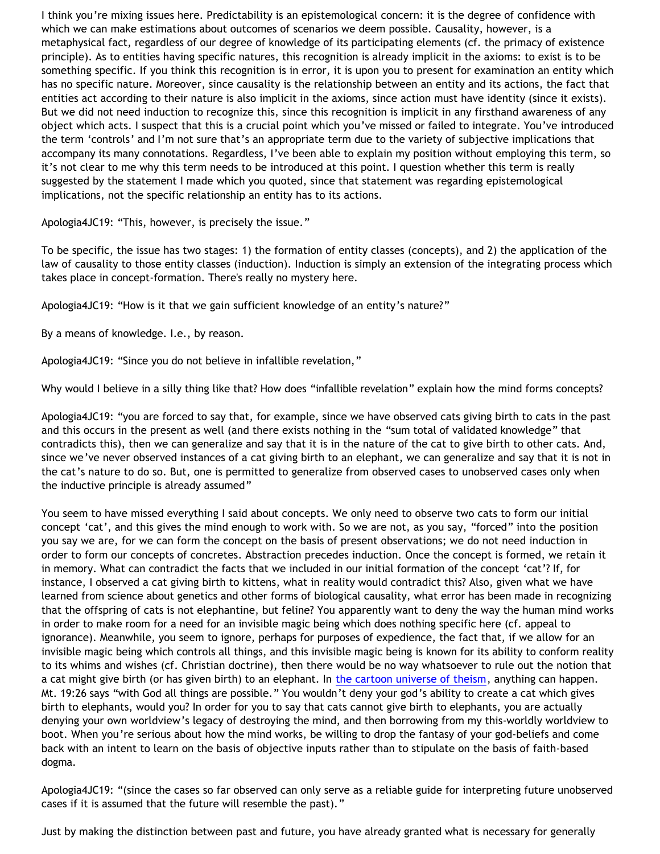I think you're mixing issues here. Predictability is an epistemological concern: it is the degree of confidence with which we can make estimations about outcomes of scenarios we deem possible. Causality, however, is a metaphysical fact, regardless of our degree of knowledge of its participating elements (cf. the primacy of existence principle). As to entities having specific natures, this recognition is already implicit in the axioms: to exist is to be something specific. If you think this recognition is in error, it is upon you to present for examination an entity which has no specific nature. Moreover, since causality is the relationship between an entity and its actions, the fact that entities act according to their nature is also implicit in the axioms, since action must have identity (since it exists). But we did not need induction to recognize this, since this recognition is implicit in any firsthand awareness of any object which acts. I suspect that this is a crucial point which you've missed or failed to integrate. You've introduced the term 'controls' and I'm not sure that's an appropriate term due to the variety of subjective implications that accompany its many connotations. Regardless, I've been able to explain my position without employing this term, so it's not clear to me why this term needs to be introduced at this point. I question whether this term is really suggested by the statement I made which you quoted, since that statement was regarding epistemological implications, not the specific relationship an entity has to its actions.

Apologia4JC19: "This, however, is precisely the issue."

To be specific, the issue has two stages: 1) the formation of entity classes (concepts), and 2) the application of the law of causality to those entity classes (induction). Induction is simply an extension of the integrating process which takes place in concept-formation. There's really no mystery here.

Apologia4JC19: "How is it that we gain sufficient knowledge of an entity's nature?"

By a means of knowledge. I.e., by reason.

Apologia4JC19: "Since you do not believe in infallible revelation,"

Why would I believe in a silly thing like that? How does "infallible revelation" explain how the mind forms concepts?

Apologia4JC19: "you are forced to say that, for example, since we have observed cats giving birth to cats in the past and this occurs in the present as well (and there exists nothing in the "sum total of validated knowledge" that contradicts this), then we can generalize and say that it is in the nature of the cat to give birth to other cats. And, since we've never observed instances of a cat giving birth to an elephant, we can generalize and say that it is not in the cat's nature to do so. But, one is permitted to generalize from observed cases to unobserved cases only when the inductive principle is already assumed"

You seem to have missed everything I said about concepts. We only need to observe two cats to form our initial concept 'cat', and this gives the mind enough to work with. So we are not, as you say, "forced" into the position you say we are, for we can form the concept on the basis of present observations; we do not need induction in order to form our concepts of concretes. Abstraction precedes induction. Once the concept is formed, we retain it in memory. What can contradict the facts that we included in our initial formation of the concept 'cat'? If, for instance, I observed a cat giving birth to kittens, what in reality would contradict this? Also, given what we have learned from science about genetics and other forms of biological causality, what error has been made in recognizing that the offspring of cats is not elephantine, but feline? You apparently want to deny the way the human mind works in order to make room for a need for an invisible magic being which does nothing specific here (cf. appeal to ignorance). Meanwhile, you seem to ignore, perhaps for purposes of expedience, the fact that, if we allow for an invisible magic being which controls all things, and this invisible magic being is known for its ability to conform reality to its whims and wishes (cf. Christian doctrine), then there would be no way whatsoever to rule out the notion that a cat might give birth (or has given birth) to an elephant. In [the cartoon universe of theism,](http://bahnsenburner.blogspot.com/2005/03/cartoon-universe-of-theism.html) anything can happen. Mt. 19:26 says "with God all things are possible." You wouldn't deny your god's ability to create a cat which gives birth to elephants, would you? In order for you to say that cats cannot give birth to elephants, you are actually denying your own worldview's legacy of destroying the mind, and then borrowing from my this-worldly worldview to boot. When you're serious about how the mind works, be willing to drop the fantasy of your god-beliefs and come back with an intent to learn on the basis of objective inputs rather than to stipulate on the basis of faith-based dogma.

Apologia4JC19: "(since the cases so far observed can only serve as a reliable guide for interpreting future unobserved cases if it is assumed that the future will resemble the past)."

Just by making the distinction between past and future, you have already granted what is necessary for generally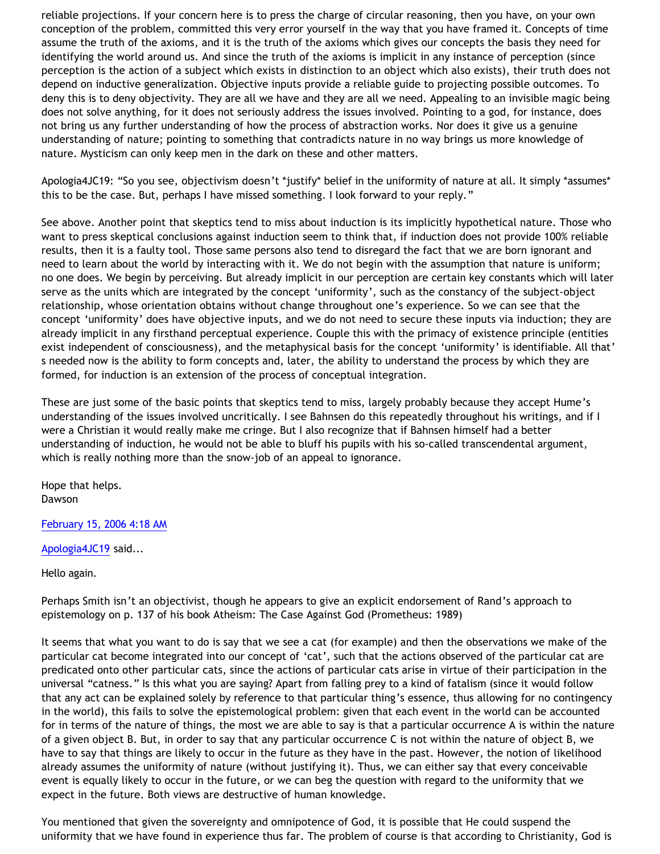reliable projections. If your concern here is to press the charge of circular reasoning, then you have, on your own conception of the problem, committed this very error yourself in the way that you have framed it. Concepts of time assume the truth of the axioms, and it is the truth of the axioms which gives our concepts the basis they need for identifying the world around us. And since the truth of the axioms is implicit in any instance of perception (since perception is the action of a subject which exists in distinction to an object which also exists), their truth does not depend on inductive generalization. Objective inputs provide a reliable guide to projecting possible outcomes. To deny this is to deny objectivity. They are all we have and they are all we need. Appealing to an invisible magic being does not solve anything, for it does not seriously address the issues involved. Pointing to a god, for instance, does not bring us any further understanding of how the process of abstraction works. Nor does it give us a genuine understanding of nature; pointing to something that contradicts nature in no way brings us more knowledge of nature. Mysticism can only keep men in the dark on these and other matters.

Apologia4JC19: "So you see, objectivism doesn't \*justify\* belief in the uniformity of nature at all. It simply \*assumes\* this to be the case. But, perhaps I have missed something. I look forward to your reply."

See above. Another point that skeptics tend to miss about induction is its implicitly hypothetical nature. Those who want to press skeptical conclusions against induction seem to think that, if induction does not provide 100% reliable results, then it is a faulty tool. Those same persons also tend to disregard the fact that we are born ignorant and need to learn about the world by interacting with it. We do not begin with the assumption that nature is uniform; no one does. We begin by perceiving. But already implicit in our perception are certain key constants which will later serve as the units which are integrated by the concept 'uniformity', such as the constancy of the subject-object relationship, whose orientation obtains without change throughout one's experience. So we can see that the concept 'uniformity' does have objective inputs, and we do not need to secure these inputs via induction; they are already implicit in any firsthand perceptual experience. Couple this with the primacy of existence principle (entities exist independent of consciousness), and the metaphysical basis for the concept 'uniformity' is identifiable. All that' s needed now is the ability to form concepts and, later, the ability to understand the process by which they are formed, for induction is an extension of the process of conceptual integration.

These are just some of the basic points that skeptics tend to miss, largely probably because they accept Hume's understanding of the issues involved uncritically. I see Bahnsen do this repeatedly throughout his writings, and if I were a Christian it would really make me cringe. But I also recognize that if Bahnsen himself had a better understanding of induction, he would not be able to bluff his pupils with his so-called transcendental argument, which is really nothing more than the snow-job of an appeal to ignorance.

Hope that helps. Dawson

[February 15, 2006 4:18 AM](http://bahnsenburner.blogspot.com/2006/02/114000590903793295)

[Apologia4JC19](http://www.blogger.com/profile/18181326) said...

Hello again.

Perhaps Smith isn't an objectivist, though he appears to give an explicit endorsement of Rand's approach to epistemology on p. 137 of his book Atheism: The Case Against God (Prometheus: 1989)

It seems that what you want to do is say that we see a cat (for example) and then the observations we make of the particular cat become integrated into our concept of 'cat', such that the actions observed of the particular cat are predicated onto other particular cats, since the actions of particular cats arise in virtue of their participation in the universal "catness." Is this what you are saying? Apart from falling prey to a kind of fatalism (since it would follow that any act can be explained solely by reference to that particular thing's essence, thus allowing for no contingency in the world), this fails to solve the epistemological problem: given that each event in the world can be accounted for in terms of the nature of things, the most we are able to say is that a particular occurrence A is within the nature of a given object B. But, in order to say that any particular occurrence C is not within the nature of object B, we have to say that things are likely to occur in the future as they have in the past. However, the notion of likelihood already assumes the uniformity of nature (without justifying it). Thus, we can either say that every conceivable event is equally likely to occur in the future, or we can beg the question with regard to the uniformity that we expect in the future. Both views are destructive of human knowledge.

You mentioned that given the sovereignty and omnipotence of God, it is possible that He could suspend the uniformity that we have found in experience thus far. The problem of course is that according to Christianity, God is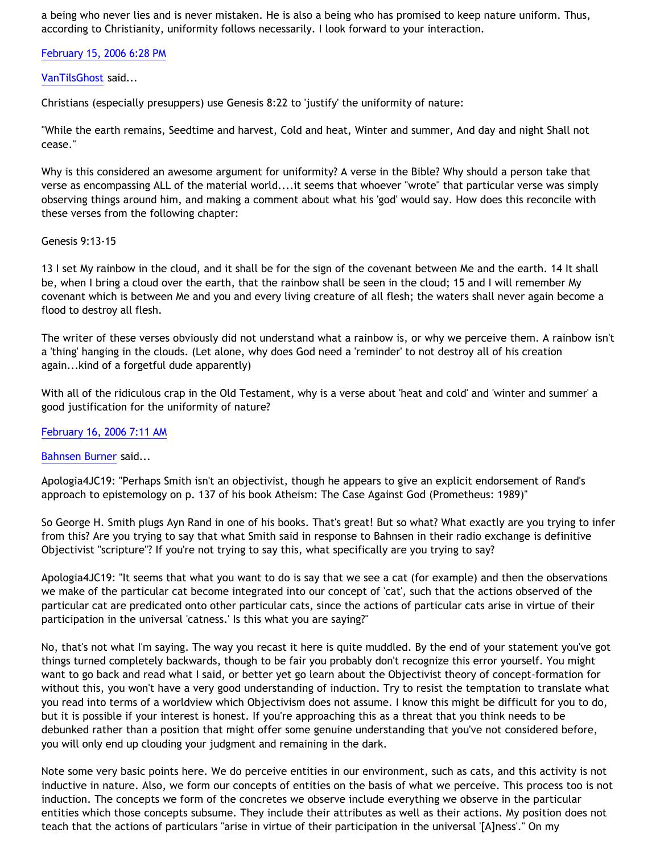a being who never lies and is never mistaken. He is also a being who has promised to keep nature uniform. Thus, according to Christianity, uniformity follows necessarily. I look forward to your interaction.

[February 15, 2006 6:28 PM](http://bahnsenburner.blogspot.com/2006/02/114005690913771872)

## [VanTilsGhost](http://www.blogger.com/profile/9496584) said...

Christians (especially presuppers) use Genesis 8:22 to 'justify' the uniformity of nature:

"While the earth remains, Seedtime and harvest, Cold and heat, Winter and summer, And day and night Shall not cease."

Why is this considered an awesome argument for uniformity? A verse in the Bible? Why should a person take that verse as encompassing ALL of the material world....it seems that whoever "wrote" that particular verse was simply observing things around him, and making a comment about what his 'god' would say. How does this reconcile with these verses from the following chapter:

### Genesis 9:13-15

13 I set My rainbow in the cloud, and it shall be for the sign of the covenant between Me and the earth. 14 It shall be, when I bring a cloud over the earth, that the rainbow shall be seen in the cloud; 15 and I will remember My covenant which is between Me and you and every living creature of all flesh; the waters shall never again become a flood to destroy all flesh.

The writer of these verses obviously did not understand what a rainbow is, or why we perceive them. A rainbow isn't a 'thing' hanging in the clouds. (Let alone, why does God need a 'reminder' to not destroy all of his creation again...kind of a forgetful dude apparently)

With all of the ridiculous crap in the Old Testament, why is a verse about 'heat and cold' and 'winter and summer' a good justification for the uniformity of nature?

[February 16, 2006 7:11 AM](http://bahnsenburner.blogspot.com/2006/02/114010267482006131)

[Bahnsen Burner](http://www.blogger.com/profile/7766918) said...

Apologia4JC19: "Perhaps Smith isn't an objectivist, though he appears to give an explicit endorsement of Rand's approach to epistemology on p. 137 of his book Atheism: The Case Against God (Prometheus: 1989)"

So George H. Smith plugs Ayn Rand in one of his books. That's great! But so what? What exactly are you trying to infer from this? Are you trying to say that what Smith said in response to Bahnsen in their radio exchange is definitive Objectivist "scripture"? If you're not trying to say this, what specifically are you trying to say?

Apologia4JC19: "It seems that what you want to do is say that we see a cat (for example) and then the observations we make of the particular cat become integrated into our concept of 'cat', such that the actions observed of the particular cat are predicated onto other particular cats, since the actions of particular cats arise in virtue of their participation in the universal 'catness.' Is this what you are saying?"

No, that's not what I'm saying. The way you recast it here is quite muddled. By the end of your statement you've got things turned completely backwards, though to be fair you probably don't recognize this error yourself. You might want to go back and read what I said, or better yet go learn about the Objectivist theory of concept-formation for without this, you won't have a very good understanding of induction. Try to resist the temptation to translate what you read into terms of a worldview which Objectivism does not assume. I know this might be difficult for you to do, but it is possible if your interest is honest. If you're approaching this as a threat that you think needs to be debunked rather than a position that might offer some genuine understanding that you've not considered before, you will only end up clouding your judgment and remaining in the dark.

Note some very basic points here. We do perceive entities in our environment, such as cats, and this activity is not inductive in nature. Also, we form our concepts of entities on the basis of what we perceive. This process too is not induction. The concepts we form of the concretes we observe include everything we observe in the particular entities which those concepts subsume. They include their attributes as well as their actions. My position does not teach that the actions of particulars "arise in virtue of their participation in the universal '[A]ness'." On my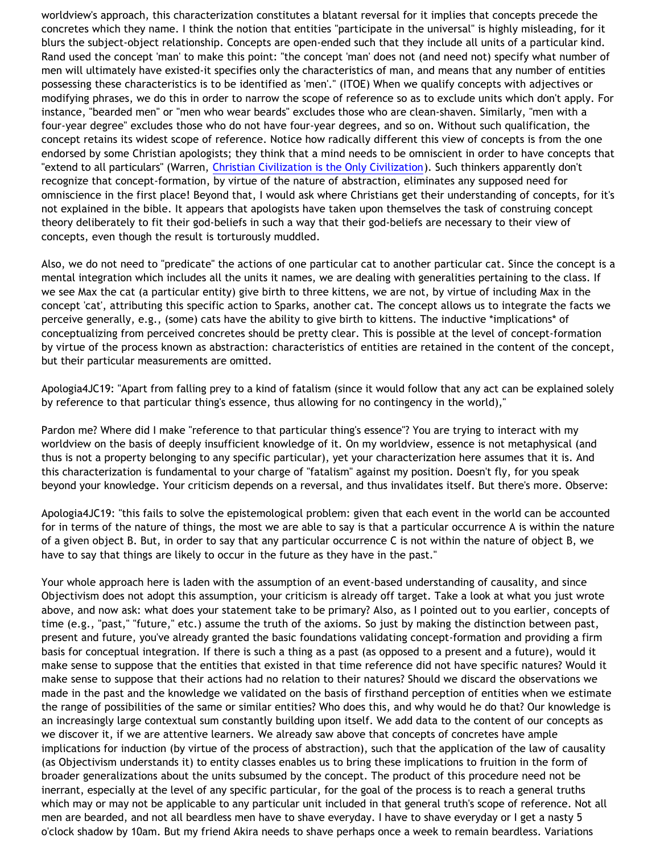worldview's approach, this characterization constitutes a blatant reversal for it implies that concepts precede the concretes which they name. I think the notion that entities "participate in the universal" is highly misleading, for it blurs the subject-object relationship. Concepts are open-ended such that they include all units of a particular kind. Rand used the concept 'man' to make this point: "the concept 'man' does not (and need not) specify what number of men will ultimately have existed-it specifies only the characteristics of man, and means that any number of entities possessing these characteristics is to be identified as 'men'." (ITOE) When we qualify concepts with adjectives or modifying phrases, we do this in order to narrow the scope of reference so as to exclude units which don't apply. For instance, "bearded men" or "men who wear beards" excludes those who are clean-shaven. Similarly, "men with a four-year degree" excludes those who do not have four-year degrees, and so on. Without such qualification, the concept retains its widest scope of reference. Notice how radically different this view of concepts is from the one endorsed by some Christian apologists; they think that a mind needs to be omniscient in order to have concepts that "extend to all particulars" (Warren, [Christian Civilization is the Only Civilization\)](http://www.christianciv.com/ChristCivEssay.htm). Such thinkers apparently don't recognize that concept-formation, by virtue of the nature of abstraction, eliminates any supposed need for omniscience in the first place! Beyond that, I would ask where Christians get their understanding of concepts, for it's not explained in the bible. It appears that apologists have taken upon themselves the task of construing concept theory deliberately to fit their god-beliefs in such a way that their god-beliefs are necessary to their view of concepts, even though the result is torturously muddled.

Also, we do not need to "predicate" the actions of one particular cat to another particular cat. Since the concept is a mental integration which includes all the units it names, we are dealing with generalities pertaining to the class. If we see Max the cat (a particular entity) give birth to three kittens, we are not, by virtue of including Max in the concept 'cat', attributing this specific action to Sparks, another cat. The concept allows us to integrate the facts we perceive generally, e.g., (some) cats have the ability to give birth to kittens. The inductive \*implications\* of conceptualizing from perceived concretes should be pretty clear. This is possible at the level of concept-formation by virtue of the process known as abstraction: characteristics of entities are retained in the content of the concept, but their particular measurements are omitted.

Apologia4JC19: "Apart from falling prey to a kind of fatalism (since it would follow that any act can be explained solely by reference to that particular thing's essence, thus allowing for no contingency in the world),"

Pardon me? Where did I make "reference to that particular thing's essence"? You are trying to interact with my worldview on the basis of deeply insufficient knowledge of it. On my worldview, essence is not metaphysical (and thus is not a property belonging to any specific particular), yet your characterization here assumes that it is. And this characterization is fundamental to your charge of "fatalism" against my position. Doesn't fly, for you speak beyond your knowledge. Your criticism depends on a reversal, and thus invalidates itself. But there's more. Observe:

Apologia4JC19: "this fails to solve the epistemological problem: given that each event in the world can be accounted for in terms of the nature of things, the most we are able to say is that a particular occurrence A is within the nature of a given object B. But, in order to say that any particular occurrence C is not within the nature of object B, we have to say that things are likely to occur in the future as they have in the past."

Your whole approach here is laden with the assumption of an event-based understanding of causality, and since Objectivism does not adopt this assumption, your criticism is already off target. Take a look at what you just wrote above, and now ask: what does your statement take to be primary? Also, as I pointed out to you earlier, concepts of time (e.g., "past," "future," etc.) assume the truth of the axioms. So just by making the distinction between past, present and future, you've already granted the basic foundations validating concept-formation and providing a firm basis for conceptual integration. If there is such a thing as a past (as opposed to a present and a future), would it make sense to suppose that the entities that existed in that time reference did not have specific natures? Would it make sense to suppose that their actions had no relation to their natures? Should we discard the observations we made in the past and the knowledge we validated on the basis of firsthand perception of entities when we estimate the range of possibilities of the same or similar entities? Who does this, and why would he do that? Our knowledge is an increasingly large contextual sum constantly building upon itself. We add data to the content of our concepts as we discover it, if we are attentive learners. We already saw above that concepts of concretes have ample implications for induction (by virtue of the process of abstraction), such that the application of the law of causality (as Objectivism understands it) to entity classes enables us to bring these implications to fruition in the form of broader generalizations about the units subsumed by the concept. The product of this procedure need not be inerrant, especially at the level of any specific particular, for the goal of the process is to reach a general truths which may or may not be applicable to any particular unit included in that general truth's scope of reference. Not all men are bearded, and not all beardless men have to shave everyday. I have to shave everyday or I get a nasty 5 o'clock shadow by 10am. But my friend Akira needs to shave perhaps once a week to remain beardless. Variations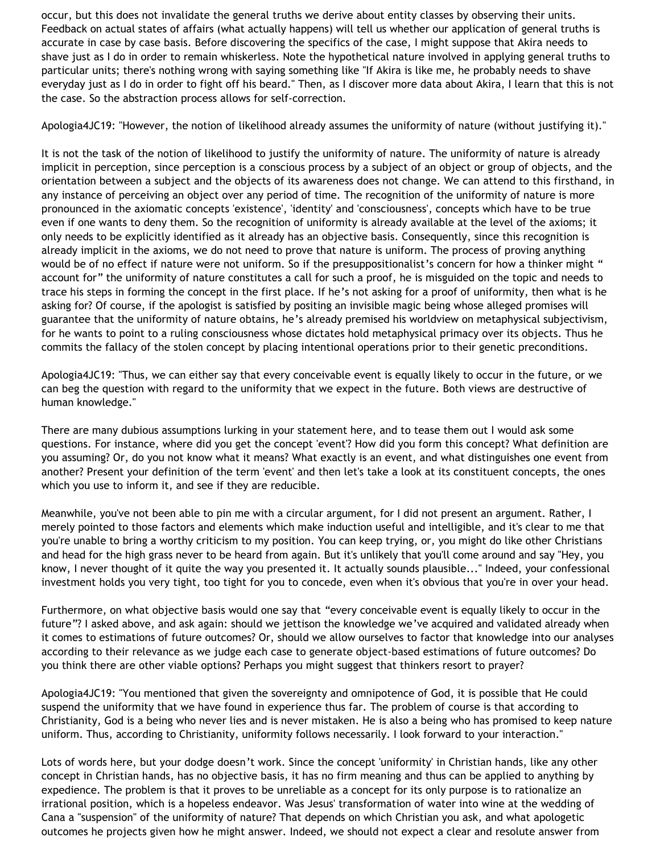occur, but this does not invalidate the general truths we derive about entity classes by observing their units. Feedback on actual states of affairs (what actually happens) will tell us whether our application of general truths is accurate in case by case basis. Before discovering the specifics of the case, I might suppose that Akira needs to shave just as I do in order to remain whiskerless. Note the hypothetical nature involved in applying general truths to particular units; there's nothing wrong with saying something like "If Akira is like me, he probably needs to shave everyday just as I do in order to fight off his beard." Then, as I discover more data about Akira, I learn that this is not the case. So the abstraction process allows for self-correction.

Apologia4JC19: "However, the notion of likelihood already assumes the uniformity of nature (without justifying it)."

It is not the task of the notion of likelihood to justify the uniformity of nature. The uniformity of nature is already implicit in perception, since perception is a conscious process by a subject of an object or group of objects, and the orientation between a subject and the objects of its awareness does not change. We can attend to this firsthand, in any instance of perceiving an object over any period of time. The recognition of the uniformity of nature is more pronounced in the axiomatic concepts 'existence', 'identity' and 'consciousness', concepts which have to be true even if one wants to deny them. So the recognition of uniformity is already available at the level of the axioms; it only needs to be explicitly identified as it already has an objective basis. Consequently, since this recognition is already implicit in the axioms, we do not need to prove that nature is uniform. The process of proving anything would be of no effect if nature were not uniform. So if the presuppositionalist's concern for how a thinker might " account for" the uniformity of nature constitutes a call for such a proof, he is misguided on the topic and needs to trace his steps in forming the concept in the first place. If he's not asking for a proof of uniformity, then what is he asking for? Of course, if the apologist is satisfied by positing an invisible magic being whose alleged promises will guarantee that the uniformity of nature obtains, he's already premised his worldview on metaphysical subjectivism, for he wants to point to a ruling consciousness whose dictates hold metaphysical primacy over its objects. Thus he commits the fallacy of the stolen concept by placing intentional operations prior to their genetic preconditions.

Apologia4JC19: "Thus, we can either say that every conceivable event is equally likely to occur in the future, or we can beg the question with regard to the uniformity that we expect in the future. Both views are destructive of human knowledge."

There are many dubious assumptions lurking in your statement here, and to tease them out I would ask some questions. For instance, where did you get the concept 'event'? How did you form this concept? What definition are you assuming? Or, do you not know what it means? What exactly is an event, and what distinguishes one event from another? Present your definition of the term 'event' and then let's take a look at its constituent concepts, the ones which you use to inform it, and see if they are reducible.

Meanwhile, you've not been able to pin me with a circular argument, for I did not present an argument. Rather, I merely pointed to those factors and elements which make induction useful and intelligible, and it's clear to me that you're unable to bring a worthy criticism to my position. You can keep trying, or, you might do like other Christians and head for the high grass never to be heard from again. But it's unlikely that you'll come around and say "Hey, you know, I never thought of it quite the way you presented it. It actually sounds plausible..." Indeed, your confessional investment holds you very tight, too tight for you to concede, even when it's obvious that you're in over your head.

Furthermore, on what objective basis would one say that "every conceivable event is equally likely to occur in the future"? I asked above, and ask again: should we jettison the knowledge we've acquired and validated already when it comes to estimations of future outcomes? Or, should we allow ourselves to factor that knowledge into our analyses according to their relevance as we judge each case to generate object-based estimations of future outcomes? Do you think there are other viable options? Perhaps you might suggest that thinkers resort to prayer?

Apologia4JC19: "You mentioned that given the sovereignty and omnipotence of God, it is possible that He could suspend the uniformity that we have found in experience thus far. The problem of course is that according to Christianity, God is a being who never lies and is never mistaken. He is also a being who has promised to keep nature uniform. Thus, according to Christianity, uniformity follows necessarily. I look forward to your interaction."

Lots of words here, but your dodge doesn't work. Since the concept 'uniformity' in Christian hands, like any other concept in Christian hands, has no objective basis, it has no firm meaning and thus can be applied to anything by expedience. The problem is that it proves to be unreliable as a concept for its only purpose is to rationalize an irrational position, which is a hopeless endeavor. Was Jesus' transformation of water into wine at the wedding of Cana a "suspension" of the uniformity of nature? That depends on which Christian you ask, and what apologetic outcomes he projects given how he might answer. Indeed, we should not expect a clear and resolute answer from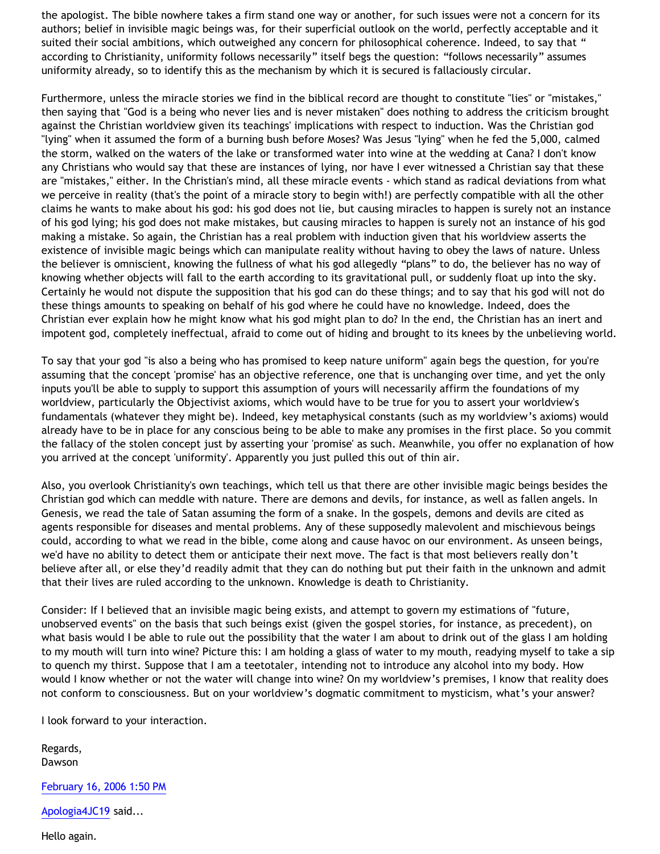the apologist. The bible nowhere takes a firm stand one way or another, for such issues were not a concern for its authors; belief in invisible magic beings was, for their superficial outlook on the world, perfectly acceptable and it suited their social ambitions, which outweighed any concern for philosophical coherence. Indeed, to say that " according to Christianity, uniformity follows necessarily" itself begs the question: "follows necessarily" assumes uniformity already, so to identify this as the mechanism by which it is secured is fallaciously circular.

Furthermore, unless the miracle stories we find in the biblical record are thought to constitute "lies" or "mistakes," then saying that "God is a being who never lies and is never mistaken" does nothing to address the criticism brought against the Christian worldview given its teachings' implications with respect to induction. Was the Christian god "lying" when it assumed the form of a burning bush before Moses? Was Jesus "lying" when he fed the 5,000, calmed the storm, walked on the waters of the lake or transformed water into wine at the wedding at Cana? I don't know any Christians who would say that these are instances of lying, nor have I ever witnessed a Christian say that these are "mistakes," either. In the Christian's mind, all these miracle events - which stand as radical deviations from what we perceive in reality (that's the point of a miracle story to begin with!) are perfectly compatible with all the other claims he wants to make about his god: his god does not lie, but causing miracles to happen is surely not an instance of his god lying; his god does not make mistakes, but causing miracles to happen is surely not an instance of his god making a mistake. So again, the Christian has a real problem with induction given that his worldview asserts the existence of invisible magic beings which can manipulate reality without having to obey the laws of nature. Unless the believer is omniscient, knowing the fullness of what his god allegedly "plans" to do, the believer has no way of knowing whether objects will fall to the earth according to its gravitational pull, or suddenly float up into the sky. Certainly he would not dispute the supposition that his god can do these things; and to say that his god will not do these things amounts to speaking on behalf of his god where he could have no knowledge. Indeed, does the Christian ever explain how he might know what his god might plan to do? In the end, the Christian has an inert and impotent god, completely ineffectual, afraid to come out of hiding and brought to its knees by the unbelieving world.

To say that your god "is also a being who has promised to keep nature uniform" again begs the question, for you're assuming that the concept 'promise' has an objective reference, one that is unchanging over time, and yet the only inputs you'll be able to supply to support this assumption of yours will necessarily affirm the foundations of my worldview, particularly the Objectivist axioms, which would have to be true for you to assert your worldview's fundamentals (whatever they might be). Indeed, key metaphysical constants (such as my worldview's axioms) would already have to be in place for any conscious being to be able to make any promises in the first place. So you commit the fallacy of the stolen concept just by asserting your 'promise' as such. Meanwhile, you offer no explanation of how you arrived at the concept 'uniformity'. Apparently you just pulled this out of thin air.

Also, you overlook Christianity's own teachings, which tell us that there are other invisible magic beings besides the Christian god which can meddle with nature. There are demons and devils, for instance, as well as fallen angels. In Genesis, we read the tale of Satan assuming the form of a snake. In the gospels, demons and devils are cited as agents responsible for diseases and mental problems. Any of these supposedly malevolent and mischievous beings could, according to what we read in the bible, come along and cause havoc on our environment. As unseen beings, we'd have no ability to detect them or anticipate their next move. The fact is that most believers really don't believe after all, or else they'd readily admit that they can do nothing but put their faith in the unknown and admit that their lives are ruled according to the unknown. Knowledge is death to Christianity.

Consider: If I believed that an invisible magic being exists, and attempt to govern my estimations of "future, unobserved events" on the basis that such beings exist (given the gospel stories, for instance, as precedent), on what basis would I be able to rule out the possibility that the water I am about to drink out of the glass I am holding to my mouth will turn into wine? Picture this: I am holding a glass of water to my mouth, readying myself to take a sip to quench my thirst. Suppose that I am a teetotaler, intending not to introduce any alcohol into my body. How would I know whether or not the water will change into wine? On my worldview's premises, I know that reality does not conform to consciousness. But on your worldview's dogmatic commitment to mysticism, what's your answer?

I look forward to your interaction.

Regards, Dawson

[February 16, 2006 1:50 PM](http://bahnsenburner.blogspot.com/2006/02/114012662750172485)

[Apologia4JC19](http://www.blogger.com/profile/18181326) said...

Hello again.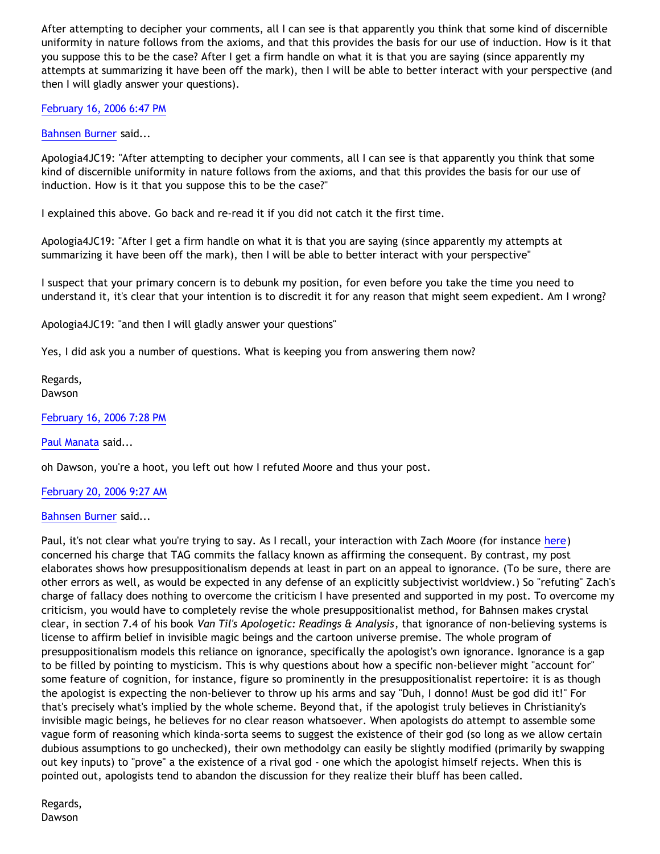After attempting to decipher your comments, all I can see is that apparently you think that some kind of discernible uniformity in nature follows from the axioms, and that this provides the basis for our use of induction. How is it that you suppose this to be the case? After I get a firm handle on what it is that you are saying (since apparently my attempts at summarizing it have been off the mark), then I will be able to better interact with your perspective (and then I will gladly answer your questions).

[February 16, 2006 6:47 PM](http://bahnsenburner.blogspot.com/2006/02/114014446497913844)

[Bahnsen Burner](http://www.blogger.com/profile/7766918) said...

Apologia4JC19: "After attempting to decipher your comments, all I can see is that apparently you think that some kind of discernible uniformity in nature follows from the axioms, and that this provides the basis for our use of induction. How is it that you suppose this to be the case?"

I explained this above. Go back and re-read it if you did not catch it the first time.

Apologia4JC19: "After I get a firm handle on what it is that you are saying (since apparently my attempts at summarizing it have been off the mark), then I will be able to better interact with your perspective"

I suspect that your primary concern is to debunk my position, for even before you take the time you need to understand it, it's clear that your intention is to discredit it for any reason that might seem expedient. Am I wrong?

Apologia4JC19: "and then I will gladly answer your questions"

Yes, I did ask you a number of questions. What is keeping you from answering them now?

Regards, Dawson

[February 16, 2006 7:28 PM](http://bahnsenburner.blogspot.com/2006/02/114014691787285968)

[Paul Manata](http://www.blogger.com/profile/7464842) said...

oh Dawson, you're a hoot, you left out how I refuted Moore and thus your post.

[February 20, 2006 9:27 AM](http://bahnsenburner.blogspot.com/2006/02/114045643888393143)

[Bahnsen Burner](http://www.blogger.com/profile/7766918) said...

Paul, it's not clear what you're trying to say. As I recall, your interaction with Zach Moore (for instance [here](http://triablogue.blogspot.com/2006/02/no-one-responded-to-my-horrible_19.html)) concerned his charge that TAG commits the fallacy known as affirming the consequent. By contrast, my post elaborates shows how presuppositionalism depends at least in part on an appeal to ignorance. (To be sure, there are other errors as well, as would be expected in any defense of an explicitly subjectivist worldview.) So "refuting" Zach's charge of fallacy does nothing to overcome the criticism I have presented and supported in my post. To overcome my criticism, you would have to completely revise the whole presuppositionalist method, for Bahnsen makes crystal clear, in section 7.4 of his book *Van Til's Apologetic: Readings & Analysis*, that ignorance of non-believing systems is license to affirm belief in invisible magic beings and the cartoon universe premise. The whole program of presuppositionalism models this reliance on ignorance, specifically the apologist's own ignorance. Ignorance is a gap to be filled by pointing to mysticism. This is why questions about how a specific non-believer might "account for" some feature of cognition, for instance, figure so prominently in the presuppositionalist repertoire: it is as though the apologist is expecting the non-believer to throw up his arms and say "Duh, I donno! Must be god did it!" For that's precisely what's implied by the whole scheme. Beyond that, if the apologist truly believes in Christianity's invisible magic beings, he believes for no clear reason whatsoever. When apologists do attempt to assemble some vague form of reasoning which kinda-sorta seems to suggest the existence of their god (so long as we allow certain dubious assumptions to go unchecked), their own methodolgy can easily be slightly modified (primarily by swapping out key inputs) to "prove" a the existence of a rival god - one which the apologist himself rejects. When this is pointed out, apologists tend to abandon the discussion for they realize their bluff has been called.

Regards, Dawson